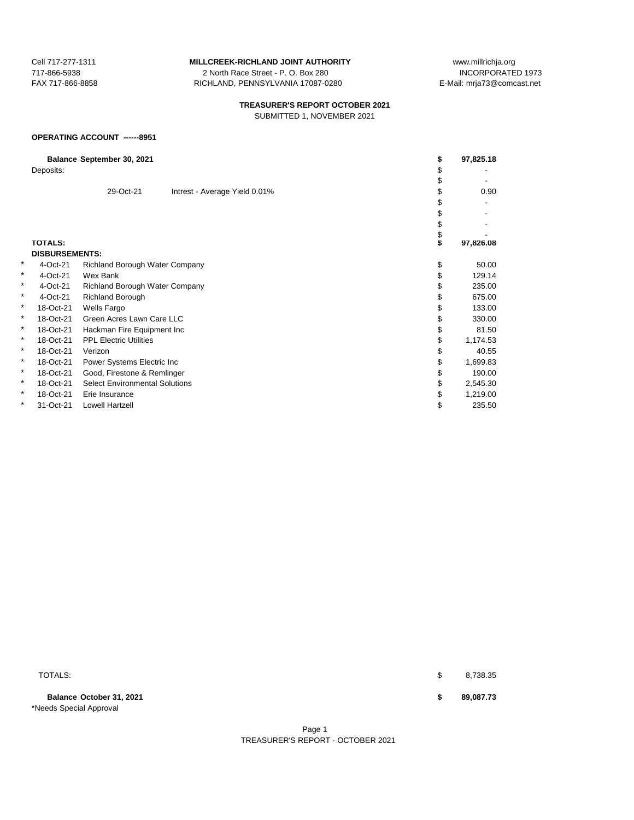717-866-5938 2 North Race Street - P. O. Box 280 FAX 717-866-8858 RICHLAND, PENNSYLVANIA 17087-0280 E-Mail: mrja73@comcast.net

# **TREASURER'S REPORT OCTOBER 2021**

SUBMITTED 1, NOVEMBER 2021

### **OPERATING ACCOUNT ------8951**

| Balance September 30, 2021 |                       |                                       | \$                            | 97,825.18 |           |
|----------------------------|-----------------------|---------------------------------------|-------------------------------|-----------|-----------|
|                            | Deposits:             |                                       |                               |           |           |
|                            |                       |                                       |                               |           |           |
|                            |                       | 29-Oct-21                             | Intrest - Average Yield 0.01% |           | 0.90      |
|                            |                       |                                       |                               |           |           |
|                            |                       |                                       |                               |           |           |
|                            |                       |                                       |                               |           |           |
|                            |                       |                                       |                               | \$        |           |
|                            | <b>TOTALS:</b>        |                                       |                               | S         | 97,826.08 |
|                            | <b>DISBURSEMENTS:</b> |                                       |                               |           |           |
| ¥                          | 4-Oct-21              | <b>Richland Borough Water Company</b> |                               | \$        | 50.00     |
| *                          | 4-Oct-21              | Wex Bank                              |                               | \$        | 129.14    |
| *                          | 4-Oct-21              | Richland Borough Water Company        |                               |           | 235.00    |
| *.                         | 4-Oct-21              | Richland Borough                      |                               |           | 675.00    |
| *                          | 18-Oct-21             | Wells Fargo                           |                               |           | 133.00    |
| *                          | 18-Oct-21             | Green Acres Lawn Care LLC             |                               |           | 330.00    |
| *                          | 18-Oct-21             | Hackman Fire Equipment Inc            |                               |           | 81.50     |
| *                          | 18-Oct-21             | <b>PPL Electric Utilities</b>         |                               | \$        | 1,174.53  |
| *                          | 18-Oct-21             | Verizon                               |                               |           | 40.55     |
| ×                          | 18-Oct-21             | Power Systems Electric Inc            |                               |           | 1,699.83  |
| *                          | 18-Oct-21             | Good, Firestone & Remlinger           |                               |           | 190.00    |
| *                          | 18-Oct-21             | <b>Select Environmental Solutions</b> |                               | \$        | 2,545.30  |
| *                          | 18-Oct-21             | Erie Insurance                        |                               |           | 1,219.00  |
| *                          | 31-Oct-21             | Lowell Hartzell                       |                               | \$        | 235.50    |
|                            |                       |                                       |                               |           |           |

**Balance October 31, 2021 \$ 89,087.73** \*Needs Special Approval

 $\texttt{TOTALS:}\quad \texttt{\$} \qquad \texttt{8,738.35}$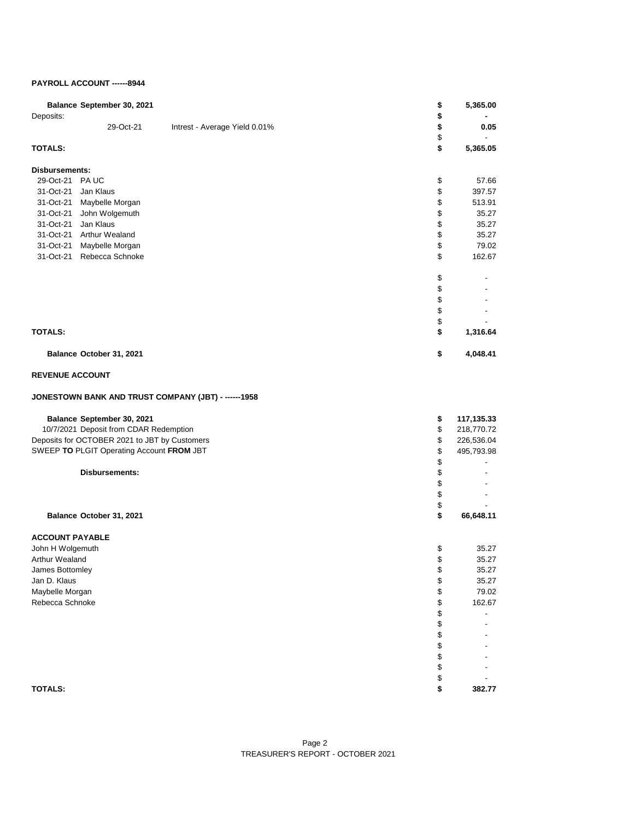#### **PAYROLL ACCOUNT ------8944**

| Balance September 30, 2021<br>Deposits:              | \$<br>\$ | 5,365.00   |
|------------------------------------------------------|----------|------------|
| 29-Oct-21<br>Intrest - Average Yield 0.01%           | \$<br>\$ | 0.05       |
| <b>TOTALS:</b>                                       | \$       | 5,365.05   |
| Disbursements:                                       |          |            |
| 29-Oct-21 PA UC                                      | \$       | 57.66      |
| 31-Oct-21<br>Jan Klaus                               | \$       | 397.57     |
| 31-Oct-21 Maybelle Morgan                            | \$       | 513.91     |
| 31-Oct-21 John Wolgemuth                             | \$       | 35.27      |
| Jan Klaus<br>31-Oct-21                               | \$       | 35.27      |
| 31-Oct-21 Arthur Wealand                             | \$       | 35.27      |
| 31-Oct-21 Maybelle Morgan                            | \$       | 79.02      |
| 31-Oct-21 Rebecca Schnoke                            | \$       | 162.67     |
|                                                      | \$       |            |
|                                                      | \$       |            |
|                                                      | \$       |            |
|                                                      | \$       |            |
|                                                      | \$       |            |
| <b>TOTALS:</b>                                       | \$       | 1,316.64   |
| Balance October 31, 2021                             | \$       | 4,048.41   |
| <b>REVENUE ACCOUNT</b>                               |          |            |
| JONESTOWN BANK AND TRUST COMPANY (JBT) - ------ 1958 |          |            |
| Balance September 30, 2021                           | \$       | 117,135.33 |
| 10/7/2021 Deposit from CDAR Redemption               | \$       | 218,770.72 |
| Deposits for OCTOBER 2021 to JBT by Customers        | \$       | 226,536.04 |
| SWEEP TO PLGIT Operating Account FROM JBT            | \$       | 495,793.98 |
|                                                      | \$       |            |
| <b>Disbursements:</b>                                | \$       |            |
|                                                      | \$       |            |
|                                                      | \$       |            |
|                                                      | \$       |            |
| Balance October 31, 2021                             | \$       | 66,648.11  |
| <b>ACCOUNT PAYABLE</b>                               |          |            |
| John H Wolgemuth                                     | \$       | 35.27      |
| Arthur Wealand                                       | \$       | 35.27      |
| James Bottomley                                      | \$       | 35.27      |
| Jan D. Klaus                                         | \$       | 35.27      |
| Maybelle Morgan                                      | \$       | 79.02      |
| Rebecca Schnoke                                      | \$       | 162.67     |
|                                                      | \$       |            |
|                                                      | \$       |            |
|                                                      | \$<br>\$ |            |
|                                                      | \$       |            |
|                                                      | \$       |            |
|                                                      | \$       |            |
| <b>TOTALS:</b>                                       | \$       | 382.77     |